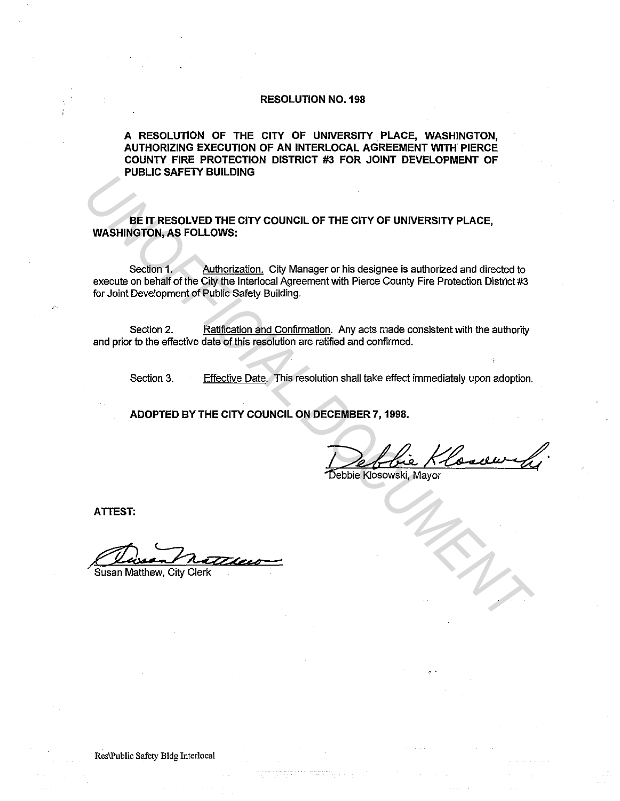# **RESOLUTION NO. 198**

**A RESOLUTION OF THE CITY OF UNIVERSITY PLACE, WASHINGTON, AUTHORIZING EXECUTION OF AN INTERLOCAL AGREEMENT WITH PIERCE COUNTY FIRE PROTECTION DISTRICT #3 FOR JOINT DEVELOPMENT OF PUBLIC SAFETY BUILDING** 

**BE IT RESOLVED THE CITY COUNCIL OF THE CITY OF UNIVERSITY PLACE, WASHINGTON, AS FOLLOWS:** 

Section 1. Authorization. City Manager or his designee is authorized and directed to execute on behalf of the City the lnterlocal Agreement with Pierce County Fire Protection District #3 for Joint Development of Public Safety Building. **POLICE SHE PRESOLVED THE CITY COUNCIL OF THE CITY OF UNIVERSITY PLACE,**<br>
WASHINGTON, AS FOLLOWS:<br>
Section 1, Authorization, City Manager or his designee is authorized and directed to<br>
execute on behalf of the City the Int

Section 2. Ratification and Confirmation. Any acts made consistent with the authority and prior to the effective date of this resolution are ratified and confirmed.

Section 3. Effective Date. This resolution shall take effect immediately upon adoption.

**ADOPTED BY THE CITY COUNCIL ON DECEMBER 7, 1998.** 

Debbie Klosowski, Mayor

**ATTEST:** 

**Susan Matthew, City Clerk** 

Res\Public Safety Bldg Interlocal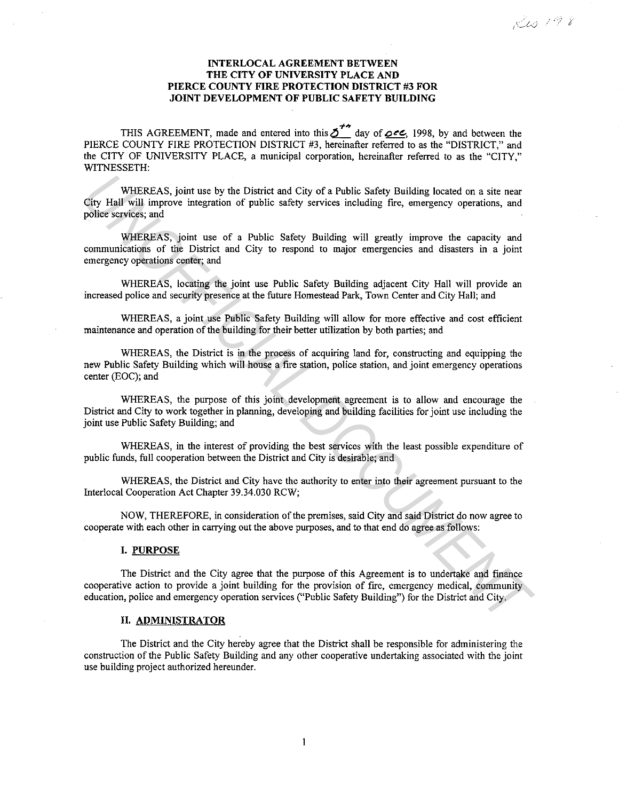# **INTERLOCAL AGREEMENT BETWEEN THE CITY OF UNIVERSITY PLACE AND PIERCE COUNTY FIRE PROTECTION DISTRICT #3 FOR JOINT DEVELOPMENT OF PUBLIC SAFETY BUILDING**

THIS AGREEMENT, made and entered into this  $\sum^{+\infty}$  day of **oce**, 1998, by and between the PIERCE COUNTY FIRE PROTECTION DISTRICT #3, hereinafter referred to as the "DISTRICT," and the CITY OF UNIVERSITY PLACE, a municipal corporation, hereinafter referred to as the "CITY," WITNESSETH:

WHEREAS, joint use by the District and City of a Public Safety Building located on a site near City Hall will improve integration of public safety services including fire, emergency operations, and **police services; and**  WHEREAS, joint use by the District and City of a Public Safety Building located on a sitt near<br>police services; and<br>Where services; and<br>Where services; and<br>WHEREAS, joint use of a Public Safety Services including free, eme

WHEREAS, joint use of a Public Safety Building will greatly improve the capacity and communications of the District and City to respond to major emergencies and disasters in a joint emergency operations center; and

WHEREAS, locating the joint use Public Safety Building adjacent City Hall will provide an increased police and security presence at the future Homestead Park, Town Center and City Hall; and

WHEREAS, a joint use Public Safety Building will allow for more effective and cost efficient maintenance and operation of the building for their better utilization by both parties; and

WHEREAS, the District is in the process of acquiring land for, constructing and equipping the new Public Safety Building which will house a fire station, police station, and joint emergency operations center (EOC); and

WHEREAS, the purpose of this joint development agreement is to allow and encourage the District and City to work together in planning, developing and building facilities for joint use including the joint use Public Safety Building; and

WHEREAS, in the interest of providing the best services with the least possible expenditure of public funds, full cooperation between the District and City is desirable; and

WHEREAS, the District and City have the authority to enter into their agreement pursuant to the Interlocal Cooperation Act Chapter 39.34.030 RCW;

NOW, THEREFORE, in consideration of the premises, said City and said District do now agree to cooperate with each other in carrying out the above purposes, and to that end do agree as follows:

## **I. PURPOSE**

The District and the City agree that the purpose of this Agreement is to undertake and finance cooperative action to provide a joint building for the provision of fire, emergency medical, community education, police and emergency operation services ("Public Safety Building") for the District and City.

### **II. ADMINISTRATOR**

The District and the City hereby agree that the District shall be responsible for administering the construction of the Public Safety Building and any other cooperative undertaking associated with the joint use building project authorized hereunder.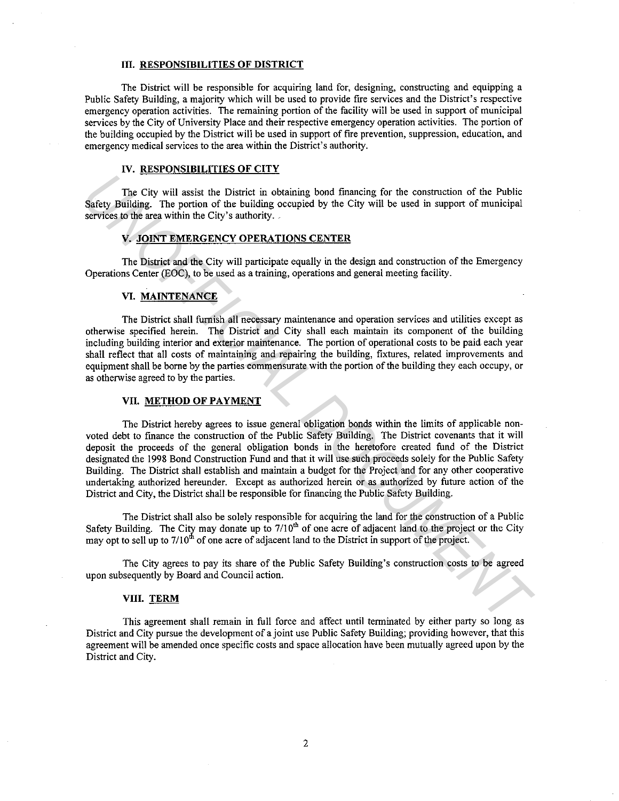#### **III. RESPONSIBILITIES OF DISTRICT**

The District will be responsible for acquiring land for, designing, constructing and equipping a Public Safety Building, a majority which will be used to provide fire services and the District's respective emergency operation activities. The remaining portion of the facility will be used in support of municipal services by the City of University Place and their respective emergency operation activities. The portion of the building occupied by the District will be used in support of fire prevention, suppression, education, and emergency medical services to the area within the District's authority.

# **IV. RESPONSIBILITIES OF CITY**

The City will assist the District in obtaining bond fmancing for the construction of the Public Safety Building. The portion of the building occupied by the City will be used in support of municipal services to the area within the City's authority.

### **V. JOINT EMERGENCY OPERATIONS CENTER**

The District and the City will participate equally in the design and construction of the Emergency Operations Center (EOC), to be used as a training, operations and general meeting facility.

# **VI. MAINTENANCE**

The District shall furnish all necessary maintenance and operation services and utilities except as otherwise specified herein. The District and City shall each maintain its component of the building including building interior and exterior maintenance. The portion of operational costs to be paid each year shall reflect that all costs of maintaining and repairing the building, fixtures, related improvements and equipment shall be borne by the parties commensurate with the portion of the building they each occupy, or as otherwise agreed to by the parties.

### **VII. METHOD OF PAYMENT**

The District hereby agrees to issue general obligation bonds within the limits of applicable nonvoted debt to finance the construction of the Public Safety Building. The District covenants that it will deposit the proceeds of the general obligation bonds in the heretofore created fund of the District designated the 1998 Bond Construction Fund and that it will use such proceeds solely for the Public Safety Building. The District shall establish and maintain a budget for the Project and for any other cooperative undertaking authorized hereunder. Except as authorized herein or as authorized by future action of the District and City, the District shall be responsible for fmancing the Public Safety Building. The City will assist the District in obtaining bond financing for the construction of the Public Seriey Building. The portion of the building coupled by the City will be used in support of municipal services noth area with

The District shall also be solely responsible for acquiring the land for the construction of a Public Safety Building. The City may donate up to  $7/10<sup>th</sup>$  of one acre of adjacent land to the project or the City may opt to sell up to  $7/10<sup>th</sup>$  of one acre of adjacent land to the District in support of the project.

The City agrees to pay its share of the Public Safety Building's construction costs to be agreed upon subsequently by Board and Council action.

#### **VIII. TERM**

This agreement shall remain in full force and affect until terminated by either party so long as District and City pursue the development of a joint use Public Safety Building; providing however, that this agreement will be amended once specific costs and space allocation have been mutually agreed upon by the District and City.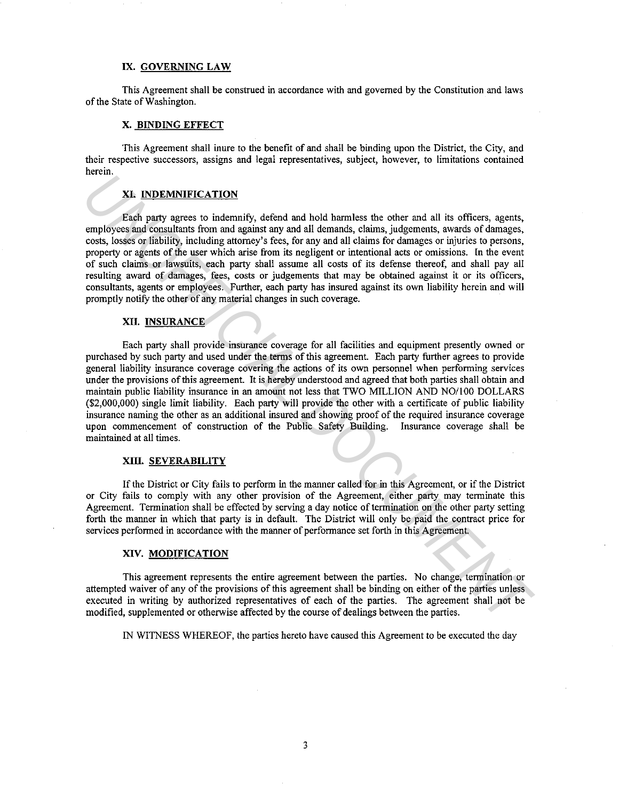### **IX. GOVERNING LAW**

This Agreement shall be construed in accordance with and governed by the Constitution and laws of the State of Washington.

### **X. BINDING EFFECT**

This Agreement shall inure to the benefit of and shall be binding upon the District, the City, and **their respective successors, assigns and legal representatives, subject, however, to limitations contained**  herein.

# **XI. INDEMNIFICATION**

Each party agrees to indemnify, defend and hold harmless the other and all its officers, agents, employees and consultants from and against any and all demands, claims, judgements, awards of damages, costs, losses or liability, including attorney's fees, for any and all claims for damages or injuries to persons, property or agents of the user which arise from its negligent or intentional acts or omissions. In the event of such claims or lawsuits, each party shall assume all costs of its defense thereof, and shall pay all resulting award of damages, fees, costs or judgements that may be obtained against it or its officers, consultants, agents or employees. Further, each party has insured against its own liability herein and will promptly notify the other of any material changes in such coverage.

# **XII. INSURANCE**

Each party shall provide insurance coverage for all facilities and equipment presently owned or purchased by such party and used under the terms of this agreement. Each party further agrees to provide general liability insurance coverage covering the actions of its own personnel when performing services under the provisions of this agreement. It is hereby understood and agreed that both parties shall obtain and maintain public liability insurance in an amount not less that TWO MILLION AND NO/JOO DOLLARS (\$2,000,000) single limit liability. Each party will provide the other with a certificate of public liability insurance naming the other as an additional insured and showing proof of the required insurance coverage upon commencement of construction of the Public Safety Building. Insurance coverage shall be maintained at all times. **IVENTIFICATION**<br> **Excharge 18.1 EXECUTE TRACT CON**<br> **Excharge the Solution Schemal and hold harmless the other and all its officers, agents,<br>
engineyers and consultants from and agents any and all claims for damages or** 

### **XIII. SEVERABILITY**

If the District or City fails to perform in the manner called for in this Agreement, or if the District or City fails to comply with any other provision of the Agreement, either party may terminate this Agreement. Termination shall be effected by serving a day notice of termination on the other party setting forth the manner in which that party is in default. The District will only be paid the contract price for services performed in accordance with the manner of performance set forth in this Agreement.

### **XIV. MODIFICATION**

**This agreement represents the entire agreement between the parties. No change, termination or**  attempted waiver of any of the provisions of this agreement shall be binding on either of the parties unless executed in writing by authorized representatives of each of the parties. The agreement shall not be modified, supplemented or otherwise affected by the course of dealings between the parties.

IN WITNESS WHEREOF, the parties hereto have caused this Agreement to be executed the day